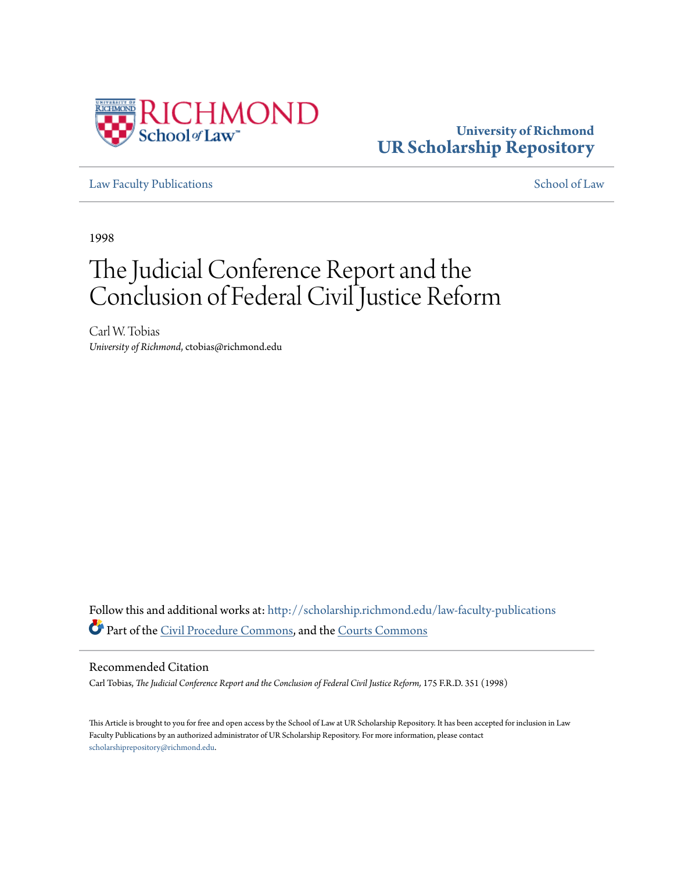

# **University of Richmond [UR Scholarship Repository](http://scholarship.richmond.edu?utm_source=scholarship.richmond.edu%2Flaw-faculty-publications%2F823&utm_medium=PDF&utm_campaign=PDFCoverPages)**

[Law Faculty Publications](http://scholarship.richmond.edu/law-faculty-publications?utm_source=scholarship.richmond.edu%2Flaw-faculty-publications%2F823&utm_medium=PDF&utm_campaign=PDFCoverPages) [School of Law](http://scholarship.richmond.edu/law?utm_source=scholarship.richmond.edu%2Flaw-faculty-publications%2F823&utm_medium=PDF&utm_campaign=PDFCoverPages)

1998

# The Judicial Conference Report and the Conclusion of Federal Civil Justice Reform

Carl W. Tobias *University of Richmond*, ctobias@richmond.edu

Follow this and additional works at: [http://scholarship.richmond.edu/law-faculty-publications](http://scholarship.richmond.edu/law-faculty-publications?utm_source=scholarship.richmond.edu%2Flaw-faculty-publications%2F823&utm_medium=PDF&utm_campaign=PDFCoverPages) Part of the [Civil Procedure Commons](http://network.bepress.com/hgg/discipline/584?utm_source=scholarship.richmond.edu%2Flaw-faculty-publications%2F823&utm_medium=PDF&utm_campaign=PDFCoverPages), and the [Courts Commons](http://network.bepress.com/hgg/discipline/839?utm_source=scholarship.richmond.edu%2Flaw-faculty-publications%2F823&utm_medium=PDF&utm_campaign=PDFCoverPages)

## Recommended Citation

Carl Tobias, *The Judicial Conference Report and the Conclusion of Federal Civil Justice Reform,* 175 F.R.D. 351 (1998)

This Article is brought to you for free and open access by the School of Law at UR Scholarship Repository. It has been accepted for inclusion in Law Faculty Publications by an authorized administrator of UR Scholarship Repository. For more information, please contact [scholarshiprepository@richmond.edu.](mailto:scholarshiprepository@richmond.edu)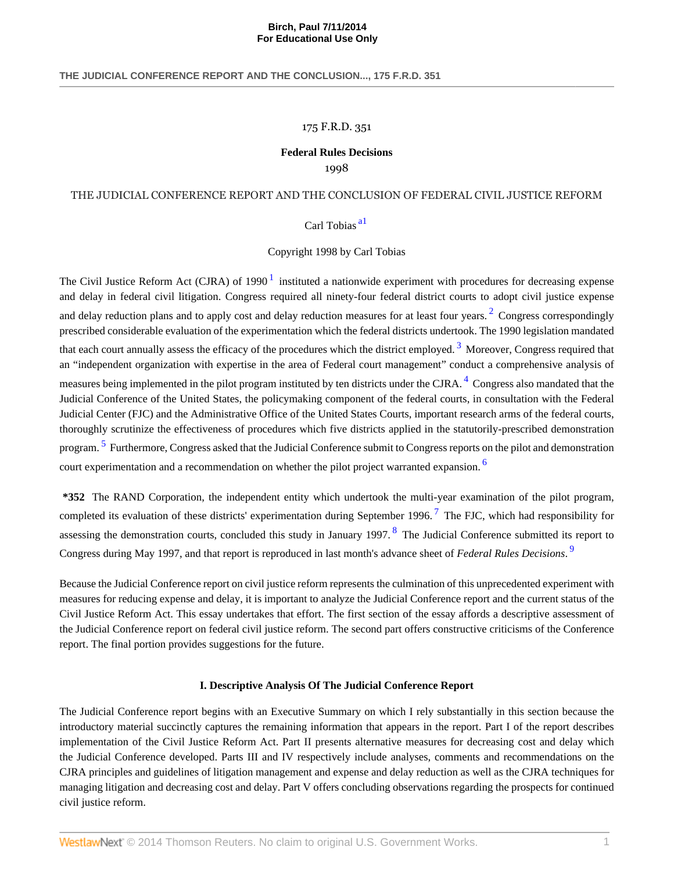# 175 F.R.D. 351

# **Federal Rules Decisions**

1998

# THE JUDICIAL CONFERENCE REPORT AND THE CONCLUSION OF FEDERAL CIVIL JUSTICE REFORM

# <span id="page-1-6"></span><span id="page-1-4"></span><span id="page-1-3"></span><span id="page-1-2"></span><span id="page-1-0"></span>Carl Tobias [a1](#page-7-0)

## <span id="page-1-1"></span>Copyright 1998 by Carl Tobias

The Civil Justice Reform Act (CJRA) of [1](#page-7-1)990 $<sup>1</sup>$  instituted a nationwide experiment with procedures for decreasing expense</sup> and delay in federal civil litigation. Congress required all ninety-four federal district courts to adopt civil justice expense and delay reduction plans and to apply cost and delay reduction measures for at least four years.<sup>[2](#page-7-2)</sup> Congress correspondingly prescribed considerable evaluation of the experimentation which the federal districts undertook. The 1990 legislation mandated that each court annually assess the efficacy of the procedures which the district employed.<sup>[3](#page-7-3)</sup> Moreover, Congress required that an "independent organization with expertise in the area of Federal court management" conduct a comprehensive analysis of measures being implemented in the pilot program instituted by ten districts under the CJRA.<sup>[4](#page-7-4)</sup> Congress also mandated that the Judicial Conference of the United States, the policymaking component of the federal courts, in consultation with the Federal Judicial Center (FJC) and the Administrative Office of the United States Courts, important research arms of the federal courts, thoroughly scrutinize the effectiveness of procedures which five districts applied in the statutorily-prescribed demonstration program.<sup>[5](#page-7-5)</sup> Furthermore, Congress asked that the Judicial Conference submit to Congress reports on the pilot and demonstration court experimentation and a recommendation on whether the pilot project warranted expansion. <sup>[6](#page-7-6)</sup>

<span id="page-1-5"></span>**\*352** The RAND Corporation, the independent entity which undertook the multi-year examination of the pilot program, completed its evaluation of these districts' experimentation during September 1996.<sup>[7](#page-8-0)</sup> The FJC, which had responsibility for assessing the demonstration courts, concluded this study in January 1997.<sup>[8](#page-8-1)</sup> The Judicial Conference submitted its report to Congress during May 1997, and that report is reproduced in last month's advance sheet of *Federal Rules Decisions*. [9](#page-8-2)

Because the Judicial Conference report on civil justice reform represents the culmination of this unprecedented experiment with measures for reducing expense and delay, it is important to analyze the Judicial Conference report and the current status of the Civil Justice Reform Act. This essay undertakes that effort. The first section of the essay affords a descriptive assessment of the Judicial Conference report on federal civil justice reform. The second part offers constructive criticisms of the Conference report. The final portion provides suggestions for the future.

## <span id="page-1-9"></span><span id="page-1-8"></span><span id="page-1-7"></span>**I. Descriptive Analysis Of The Judicial Conference Report**

The Judicial Conference report begins with an Executive Summary on which I rely substantially in this section because the introductory material succinctly captures the remaining information that appears in the report. Part I of the report describes implementation of the Civil Justice Reform Act. Part II presents alternative measures for decreasing cost and delay which the Judicial Conference developed. Parts III and IV respectively include analyses, comments and recommendations on the CJRA principles and guidelines of litigation management and expense and delay reduction as well as the CJRA techniques for managing litigation and decreasing cost and delay. Part V offers concluding observations regarding the prospects for continued civil justice reform.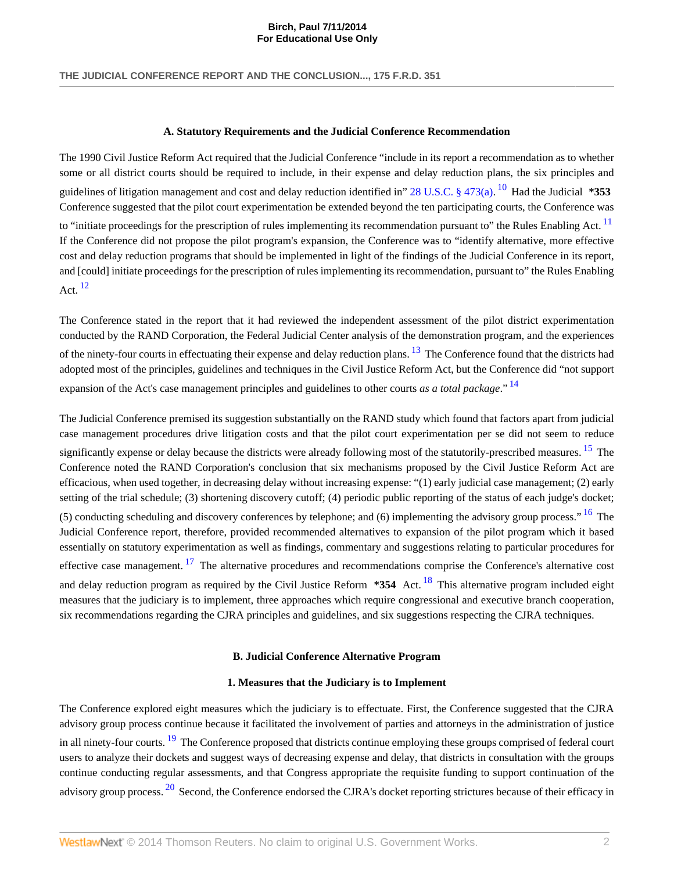### <span id="page-2-3"></span>**A. Statutory Requirements and the Judicial Conference Recommendation**

<span id="page-2-1"></span><span id="page-2-0"></span>**For Educational Use Only**

The 1990 Civil Justice Reform Act required that the Judicial Conference "include in its report a recommendation as to whether some or all district courts should be required to include, in their expense and delay reduction plans, the six principles and guidelines of litigation management and cost and delay reduction identified in" [28 U.S.C. § 473\(a\)](http://www.westlaw.com/Link/Document/FullText?findType=L&pubNum=1000546&cite=28USCAS473&originationContext=document&vr=3.0&rs=cblt1.0&transitionType=DocumentItem&contextData=(sc.UserEnteredCitation)#co_pp_8b3b0000958a4). [10](#page-8-3) Had the Judicial **\*353** Conference suggested that the pilot court experimentation be extended beyond the ten participating courts, the Conference was to "initiate proceedings for the prescription of rules implementing its recommendation pursuant to" the Rules Enabling Act. <sup>[11](#page-8-4)</sup> If the Conference did not propose the pilot program's expansion, the Conference was to "identify alternative, more effective cost and delay reduction programs that should be implemented in light of the findings of the Judicial Conference in its report, and [could] initiate proceedings for the prescription of rules implementing its recommendation, pursuant to" the Rules Enabling Act.  $12$ 

<span id="page-2-2"></span>The Conference stated in the report that it had reviewed the independent assessment of the pilot district experimentation conducted by the RAND Corporation, the Federal Judicial Center analysis of the demonstration program, and the experiences of the ninety-four courts in effectuating their expense and delay reduction plans. <sup>[13](#page-8-6)</sup> The Conference found that the districts had adopted most of the principles, guidelines and techniques in the Civil Justice Reform Act, but the Conference did "not support expansion of the Act's case management principles and guidelines to other courts *as a total package*." [14](#page-8-7)

The Judicial Conference premised its suggestion substantially on the RAND study which found that factors apart from judicial case management procedures drive litigation costs and that the pilot court experimentation per se did not seem to reduce significantly expense or delay because the districts were already following most of the statutorily-prescribed measures. <sup>[15](#page-8-8)</sup> The Conference noted the RAND Corporation's conclusion that six mechanisms proposed by the Civil Justice Reform Act are efficacious, when used together, in decreasing delay without increasing expense: "(1) early judicial case management; (2) early setting of the trial schedule; (3) shortening discovery cutoff; (4) periodic public reporting of the status of each judge's docket; (5) conducting scheduling and discovery conferences by telephone; and (6) implementing the advisory group process." [16](#page-8-9) The Judicial Conference report, therefore, provided recommended alternatives to expansion of the pilot program which it based essentially on statutory experimentation as well as findings, commentary and suggestions relating to particular procedures for effective case management.  $^{17}$  $^{17}$  $^{17}$  The alternative procedures and recommendations comprise the Conference's alternative cost and delay reduction program as required by the Civil Justice Reform **\*354** Act. <sup>[18](#page-8-11)</sup> This alternative program included eight measures that the judiciary is to implement, three approaches which require congressional and executive branch cooperation, six recommendations regarding the CJRA principles and guidelines, and six suggestions respecting the CJRA techniques.

#### <span id="page-2-8"></span><span id="page-2-7"></span><span id="page-2-6"></span><span id="page-2-5"></span><span id="page-2-4"></span>**B. Judicial Conference Alternative Program**

#### <span id="page-2-10"></span><span id="page-2-9"></span>**1. Measures that the Judiciary is to Implement**

The Conference explored eight measures which the judiciary is to effectuate. First, the Conference suggested that the CJRA advisory group process continue because it facilitated the involvement of parties and attorneys in the administration of justice in all ninety-four courts. <sup>[19](#page-8-12)</sup> The Conference proposed that districts continue employing these groups comprised of federal court users to analyze their dockets and suggest ways of decreasing expense and delay, that districts in consultation with the groups continue conducting regular assessments, and that Congress appropriate the requisite funding to support continuation of the advisory group process. <sup>[20](#page-8-13)</sup> Second, the Conference endorsed the CJRA's docket reporting strictures because of their efficacy in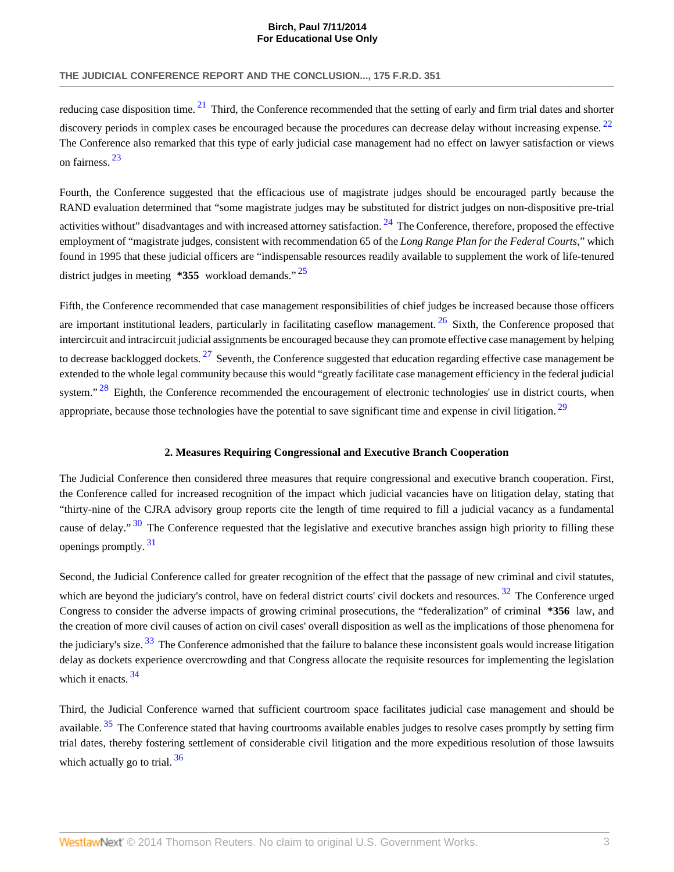reducing case disposition time.  $21$  Third, the Conference recommended that the setting of early and firm trial dates and shorter discovery periods in complex cases be encouraged because the procedures can decrease delay without increasing expense. <sup>[22](#page-8-15)</sup> The Conference also remarked that this type of early judicial case management had no effect on lawyer satisfaction or views on fairness. [23](#page-8-16)

<span id="page-3-3"></span><span id="page-3-1"></span><span id="page-3-0"></span>**For Educational Use Only**

<span id="page-3-2"></span>Fourth, the Conference suggested that the efficacious use of magistrate judges should be encouraged partly because the RAND evaluation determined that "some magistrate judges may be substituted for district judges on non-dispositive pre-trial activities without" disadvantages and with increased attorney satisfaction.  $^{24}$  $^{24}$  $^{24}$  The Conference, therefore, proposed the effective employment of "magistrate judges, consistent with recommendation 65 of the *Long Range Plan for the Federal Courts,*" which found in 1995 that these judicial officers are "indispensable resources readily available to supplement the work of life-tenured district judges in meeting **\*355** workload demands."<sup>[25](#page-8-18)</sup>

<span id="page-3-7"></span>Fifth, the Conference recommended that case management responsibilities of chief judges be increased because those officers are important institutional leaders, particularly in facilitating caseflow management.  $^{26}$  $^{26}$  $^{26}$  Sixth, the Conference proposed that intercircuit and intracircuit judicial assignments be encouraged because they can promote effective case management by helping to decrease backlogged dockets.  $27$  Seventh, the Conference suggested that education regarding effective case management be extended to the whole legal community because this would "greatly facilitate case management efficiency in the federal judicial system."<sup>[28](#page-8-21)</sup> Eighth, the Conference recommended the encouragement of electronic technologies' use in district courts, when appropriate, because those technologies have the potential to save significant time and expense in civil litigation. <sup>[29](#page-8-22)</sup>

#### <span id="page-3-11"></span><span id="page-3-10"></span><span id="page-3-9"></span><span id="page-3-8"></span><span id="page-3-6"></span><span id="page-3-5"></span><span id="page-3-4"></span>**2. Measures Requiring Congressional and Executive Branch Cooperation**

The Judicial Conference then considered three measures that require congressional and executive branch cooperation. First, the Conference called for increased recognition of the impact which judicial vacancies have on litigation delay, stating that "thirty-nine of the CJRA advisory group reports cite the length of time required to fill a judicial vacancy as a fundamental cause of delay."<sup>[30](#page-9-0)</sup> The Conference requested that the legislative and executive branches assign high priority to filling these openings promptly. [31](#page-9-1)

<span id="page-3-12"></span>Second, the Judicial Conference called for greater recognition of the effect that the passage of new criminal and civil statutes, which are beyond the judiciary's control, have on federal district courts' civil dockets and resources.<sup>[32](#page-9-2)</sup> The Conference urged Congress to consider the adverse impacts of growing criminal prosecutions, the "federalization" of criminal **\*356** law, and the creation of more civil causes of action on civil cases' overall disposition as well as the implications of those phenomena for the judiciary's size.  $33$  The Conference admonished that the failure to balance these inconsistent goals would increase litigation delay as dockets experience overcrowding and that Congress allocate the requisite resources for implementing the legislation which it enacts.  $34$ 

<span id="page-3-15"></span><span id="page-3-14"></span><span id="page-3-13"></span>Third, the Judicial Conference warned that sufficient courtroom space facilitates judicial case management and should be available.<sup>[35](#page-9-5)</sup> The Conference stated that having courtrooms available enables judges to resolve cases promptly by setting firm trial dates, thereby fostering settlement of considerable civil litigation and the more expeditious resolution of those lawsuits which actually go to trial.  $36$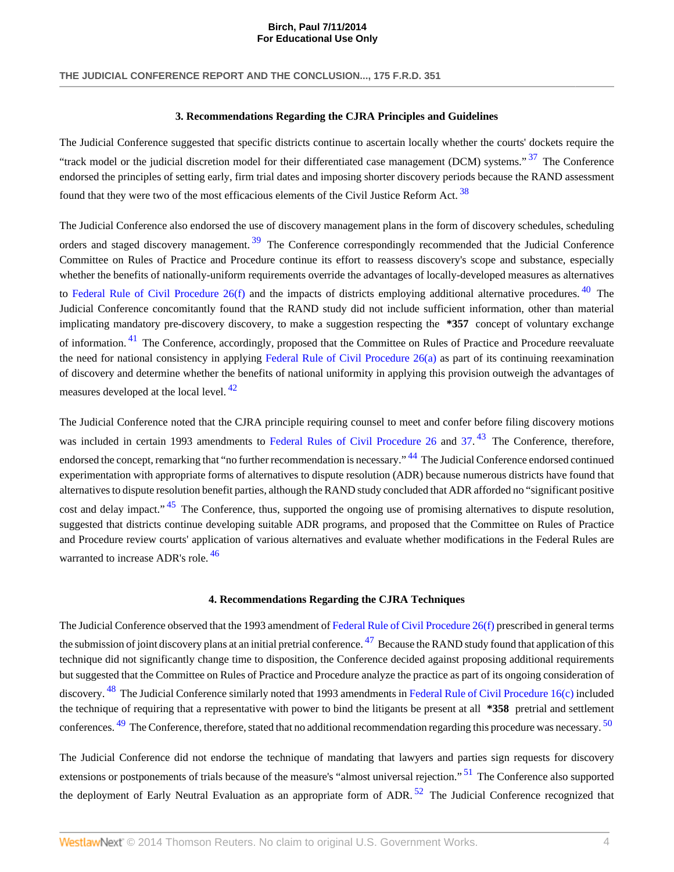#### <span id="page-4-2"></span>**3. Recommendations Regarding the CJRA Principles and Guidelines**

<span id="page-4-3"></span><span id="page-4-1"></span><span id="page-4-0"></span>**For Educational Use Only**

The Judicial Conference suggested that specific districts continue to ascertain locally whether the courts' dockets require the "track model or the judicial discretion model for their differentiated case management (DCM) systems."<sup>[37](#page-9-7)</sup> The Conference endorsed the principles of setting early, firm trial dates and imposing shorter discovery periods because the RAND assessment found that they were two of the most efficacious elements of the Civil Justice Reform Act.  $38$ 

The Judicial Conference also endorsed the use of discovery management plans in the form of discovery schedules, scheduling orders and staged discovery management.<sup>[39](#page-9-9)</sup> The Conference correspondingly recommended that the Judicial Conference Committee on Rules of Practice and Procedure continue its effort to reassess discovery's scope and substance, especially whether the benefits of nationally-uniform requirements override the advantages of locally-developed measures as alternatives to Federal Rule of Civil Procedure  $26(f)$  and the impacts of districts employing additional alternative procedures.  $40$  The Judicial Conference concomitantly found that the RAND study did not include sufficient information, other than material implicating mandatory pre-discovery discovery, to make a suggestion respecting the **\*357** concept of voluntary exchange of information. [41](#page-9-11) The Conference, accordingly, proposed that the Committee on Rules of Practice and Procedure reevaluate the need for national consistency in applying Federal Rule of Civil Procedure  $26(a)$  as part of its continuing reexamination of discovery and determine whether the benefits of national uniformity in applying this provision outweigh the advantages of measures developed at the local level. <sup>[42](#page-9-12)</sup>

<span id="page-4-5"></span><span id="page-4-4"></span>The Judicial Conference noted that the CJRA principle requiring counsel to meet and confer before filing discovery motions was included in certain 1993 amendments to [Federal Rules of Civil Procedure 26](http://www.westlaw.com/Link/Document/FullText?findType=L&pubNum=1004365&cite=USFRCPR26&originatingDoc=Iddd53cf136f111dc8120b359c1a23e50&refType=LQ&originationContext=document&vr=3.0&rs=cblt1.0&transitionType=DocumentItem&contextData=(sc.UserEnteredCitation)) and [37](http://www.westlaw.com/Link/Document/FullText?findType=L&pubNum=1004365&cite=USFRCPR37&originatingDoc=Iddd53cf136f111dc8120b359c1a23e50&refType=LQ&originationContext=document&vr=3.0&rs=cblt1.0&transitionType=DocumentItem&contextData=(sc.UserEnteredCitation)).<sup>[43](#page-9-13)</sup> The Conference, therefore, endorsed the concept, remarking that "no further recommendation is necessary." <sup>[44](#page-9-14)</sup> The Judicial Conference endorsed continued experimentation with appropriate forms of alternatives to dispute resolution (ADR) because numerous districts have found that alternatives to dispute resolution benefit parties, although the RAND study concluded that ADR afforded no "significant positive cost and delay impact."<sup>[45](#page-9-15)</sup> The Conference, thus, supported the ongoing use of promising alternatives to dispute resolution, suggested that districts continue developing suitable ADR programs, and proposed that the Committee on Rules of Practice and Procedure review courts' application of various alternatives and evaluate whether modifications in the Federal Rules are warranted to increase ADR's role.<sup>[46](#page-9-16)</sup>

#### <span id="page-4-15"></span><span id="page-4-14"></span><span id="page-4-13"></span><span id="page-4-10"></span><span id="page-4-9"></span><span id="page-4-8"></span><span id="page-4-7"></span><span id="page-4-6"></span>**4. Recommendations Regarding the CJRA Techniques**

<span id="page-4-11"></span>The Judicial Conference observed that the 1993 amendment of [Federal Rule of Civil Procedure 26\(f\)](http://www.westlaw.com/Link/Document/FullText?findType=L&pubNum=1004365&cite=USFRCPR26&originatingDoc=Iddd53cf136f111dc8120b359c1a23e50&refType=LQ&originationContext=document&vr=3.0&rs=cblt1.0&transitionType=DocumentItem&contextData=(sc.UserEnteredCitation)) prescribed in general terms the submission of joint discovery plans at an initial pretrial conference.  $^{47}$  $^{47}$  $^{47}$  Because the RAND study found that application of this technique did not significantly change time to disposition, the Conference decided against proposing additional requirements but suggested that the Committee on Rules of Practice and Procedure analyze the practice as part of its ongoing consideration of discovery. <sup>[48](#page-9-18)</sup> The Judicial Conference similarly noted that 1993 amendments in [Federal Rule of Civil Procedure 16\(c\)](http://www.westlaw.com/Link/Document/FullText?findType=L&pubNum=1004365&cite=USFRCPR16&originatingDoc=Iddd53cf136f111dc8120b359c1a23e50&refType=LQ&originationContext=document&vr=3.0&rs=cblt1.0&transitionType=DocumentItem&contextData=(sc.UserEnteredCitation)) included the technique of requiring that a representative with power to bind the litigants be present at all **\*358** pretrial and settlement conferences. <sup>[49](#page-9-19)</sup> The Conference, therefore, stated that no additional recommendation regarding this procedure was necessary. <sup>[50](#page-9-20)</sup>

<span id="page-4-12"></span>The Judicial Conference did not endorse the technique of mandating that lawyers and parties sign requests for discovery extensions or postponements of trials because of the measure's "almost universal rejection."<sup>[51](#page-9-21)</sup> The Conference also supported the deployment of Early Neutral Evaluation as an appropriate form of ADR.<sup>[52](#page-9-22)</sup> The Judicial Conference recognized that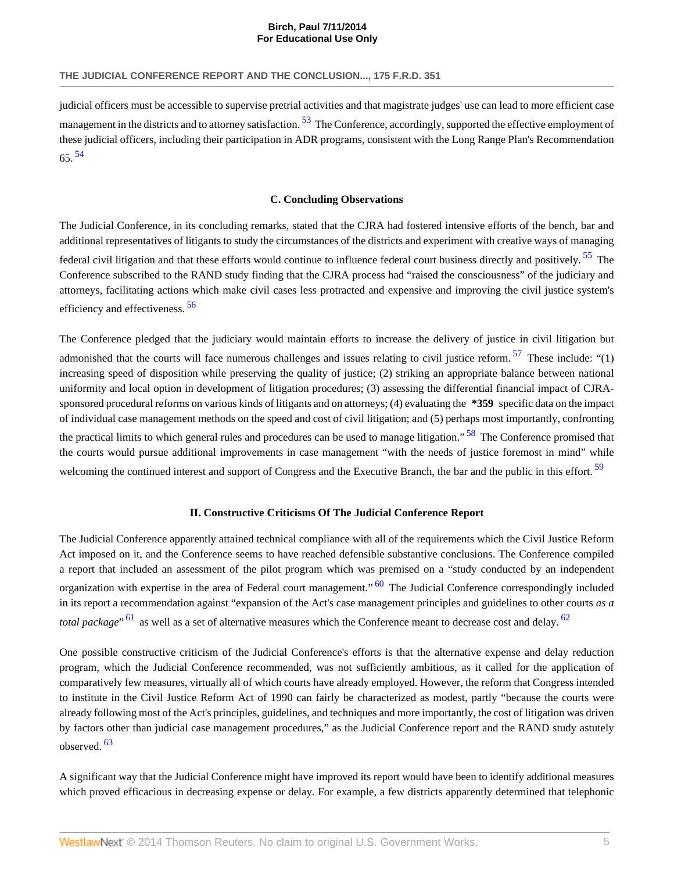<span id="page-5-1"></span>judicial officers must be accessible to supervise pretrial activities and that magistrate judges' use can lead to more efficient case management in the districts and to attorney satisfaction. <sup>[53](#page-9-23)</sup> The Conference, accordingly, supported the effective employment of these judicial officers, including their participation in ADR programs, consistent with the Long Range Plan's Recommendation 65. [54](#page-9-24)

<span id="page-5-0"></span>**For Educational Use Only**

#### <span id="page-5-4"></span><span id="page-5-2"></span>**C. Concluding Observations**

The Judicial Conference, in its concluding remarks, stated that the CJRA had fostered intensive efforts of the bench, bar and additional representatives of litigants to study the circumstances of the districts and experiment with creative ways of managing federal civil litigation and that these efforts would continue to influence federal court business directly and positively. <sup>[55](#page-10-0)</sup> The Conference subscribed to the RAND study finding that the CJRA process had "raised the consciousness" of the judiciary and attorneys, facilitating actions which make civil cases less protracted and expensive and improving the civil justice system's efficiency and effectiveness. [56](#page-10-1)

<span id="page-5-3"></span>The Conference pledged that the judiciary would maintain efforts to increase the delivery of justice in civil litigation but admonished that the courts will face numerous challenges and issues relating to civil justice reform.  $57$  These include: "(1) increasing speed of disposition while preserving the quality of justice; (2) striking an appropriate balance between national uniformity and local option in development of litigation procedures; (3) assessing the differential financial impact of CJRAsponsored procedural reforms on various kinds of litigants and on attorneys; (4) evaluating the **\*359** specific data on the impact of individual case management methods on the speed and cost of civil litigation; and (5) perhaps most importantly, confronting the practical limits to which general rules and procedures can be used to manage litigation." <sup>[58](#page-10-3)</sup> The Conference promised that the courts would pursue additional improvements in case management "with the needs of justice foremost in mind" while welcoming the continued interest and support of Congress and the Executive Branch, the bar and the public in this effort. <sup>[59](#page-10-4)</sup>

#### <span id="page-5-9"></span><span id="page-5-7"></span><span id="page-5-6"></span><span id="page-5-5"></span>**II. Constructive Criticisms Of The Judicial Conference Report**

The Judicial Conference apparently attained technical compliance with all of the requirements which the Civil Justice Reform Act imposed on it, and the Conference seems to have reached defensible substantive conclusions. The Conference compiled a report that included an assessment of the pilot program which was premised on a "study conducted by an independent organization with expertise in the area of Federal court management." <sup>[60](#page-10-5)</sup> The Judicial Conference correspondingly included in its report a recommendation against "expansion of the Act's case management principles and guidelines to other courts *as a total package*"<sup>[61](#page-10-6)</sup> as well as a set of alternative measures which the Conference meant to decrease cost and delay.<sup>[62](#page-10-7)</sup>

<span id="page-5-8"></span>One possible constructive criticism of the Judicial Conference's efforts is that the alternative expense and delay reduction program, which the Judicial Conference recommended, was not sufficiently ambitious, as it called for the application of comparatively few measures, virtually all of which courts have already employed. However, the reform that Congress intended to institute in the Civil Justice Reform Act of 1990 can fairly be characterized as modest, partly "because the courts were already following most of the Act's principles, guidelines, and techniques and more importantly, the cost of litigation was driven by factors other than judicial case management procedures," as the Judicial Conference report and the RAND study astutely observed. [63](#page-10-8)

<span id="page-5-10"></span>A significant way that the Judicial Conference might have improved its report would have been to identify additional measures which proved efficacious in decreasing expense or delay. For example, a few districts apparently determined that telephonic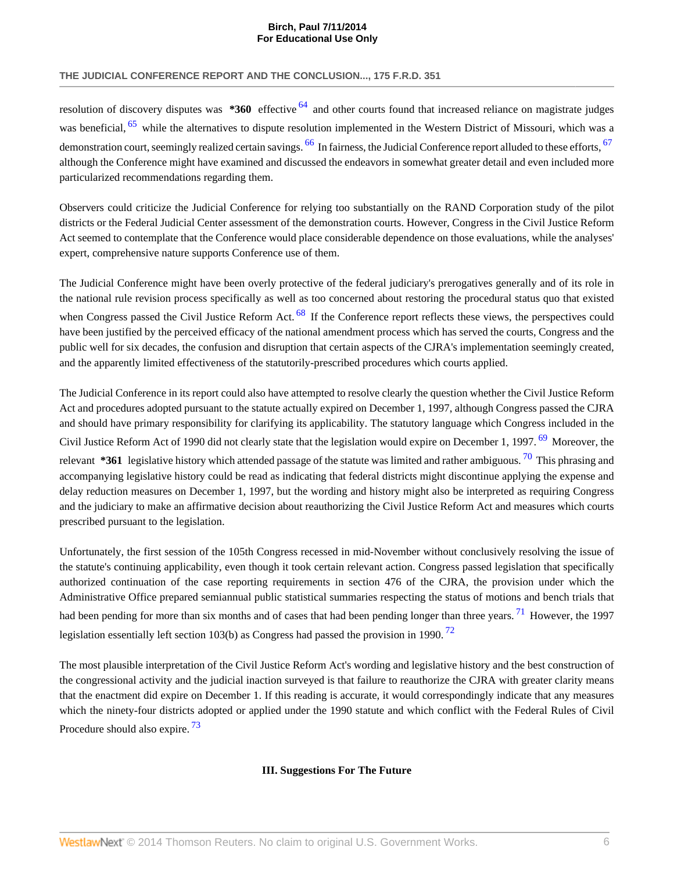<span id="page-6-1"></span>resolution of discovery disputes was **\*360** effective [64](#page-10-9) and other courts found that increased reliance on magistrate judges was beneficial, <sup>[65](#page-10-10)</sup> while the alternatives to dispute resolution implemented in the Western District of Missouri, which was a demonstration court, seemingly realized certain savings.  $^{66}$  $^{66}$  $^{66}$  In fairness, the Judicial Conference report alluded to these efforts,  $^{67}$  $^{67}$  $^{67}$ although the Conference might have examined and discussed the endeavors in somewhat greater detail and even included more particularized recommendations regarding them.

<span id="page-6-3"></span><span id="page-6-2"></span><span id="page-6-0"></span>**For Educational Use Only**

Observers could criticize the Judicial Conference for relying too substantially on the RAND Corporation study of the pilot districts or the Federal Judicial Center assessment of the demonstration courts. However, Congress in the Civil Justice Reform Act seemed to contemplate that the Conference would place considerable dependence on those evaluations, while the analyses' expert, comprehensive nature supports Conference use of them.

<span id="page-6-4"></span>The Judicial Conference might have been overly protective of the federal judiciary's prerogatives generally and of its role in the national rule revision process specifically as well as too concerned about restoring the procedural status quo that existed when Congress passed the Civil Justice Reform Act. <sup>[68](#page-10-13)</sup> If the Conference report reflects these views, the perspectives could have been justified by the perceived efficacy of the national amendment process which has served the courts, Congress and the public well for six decades, the confusion and disruption that certain aspects of the CJRA's implementation seemingly created, and the apparently limited effectiveness of the statutorily-prescribed procedures which courts applied.

The Judicial Conference in its report could also have attempted to resolve clearly the question whether the Civil Justice Reform Act and procedures adopted pursuant to the statute actually expired on December 1, 1997, although Congress passed the CJRA and should have primary responsibility for clarifying its applicability. The statutory language which Congress included in the Civil Justice Reform Act of 1990 did not clearly state that the legislation would expire on December 1, 1997. <sup>[69](#page-10-14)</sup> Moreover, the relevant **\*361** legislative history which attended passage of the statute was limited and rather ambiguous. [70](#page-10-15) This phrasing and accompanying legislative history could be read as indicating that federal districts might discontinue applying the expense and delay reduction measures on December 1, 1997, but the wording and history might also be interpreted as requiring Congress and the judiciary to make an affirmative decision about reauthorizing the Civil Justice Reform Act and measures which courts prescribed pursuant to the legislation.

Unfortunately, the first session of the 105th Congress recessed in mid-November without conclusively resolving the issue of the statute's continuing applicability, even though it took certain relevant action. Congress passed legislation that specifically authorized continuation of the case reporting requirements in section 476 of the CJRA, the provision under which the Administrative Office prepared semiannual public statistical summaries respecting the status of motions and bench trials that had been pending for more than six months and of cases that had been pending longer than three years. <sup>[71](#page-10-16)</sup> However, the 1997 legislation essentially left section 103(b) as Congress had passed the provision in 1990. <sup>[72](#page-10-17)</sup>

The most plausible interpretation of the Civil Justice Reform Act's wording and legislative history and the best construction of the congressional activity and the judicial inaction surveyed is that failure to reauthorize the CJRA with greater clarity means that the enactment did expire on December 1. If this reading is accurate, it would correspondingly indicate that any measures which the ninety-four districts adopted or applied under the 1990 statute and which conflict with the Federal Rules of Civil Procedure should also expire.<sup>[73](#page-10-18)</sup>

## <span id="page-6-9"></span><span id="page-6-8"></span><span id="page-6-7"></span><span id="page-6-6"></span><span id="page-6-5"></span>**III. Suggestions For The Future**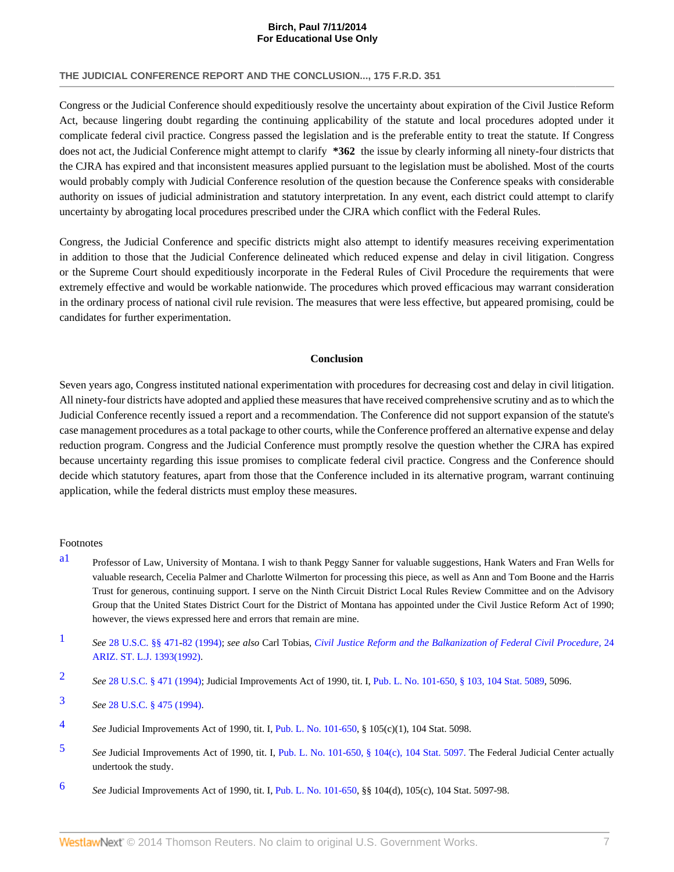Congress or the Judicial Conference should expeditiously resolve the uncertainty about expiration of the Civil Justice Reform Act, because lingering doubt regarding the continuing applicability of the statute and local procedures adopted under it complicate federal civil practice. Congress passed the legislation and is the preferable entity to treat the statute. If Congress does not act, the Judicial Conference might attempt to clarify **\*362** the issue by clearly informing all ninety-four districts that the CJRA has expired and that inconsistent measures applied pursuant to the legislation must be abolished. Most of the courts would probably comply with Judicial Conference resolution of the question because the Conference speaks with considerable authority on issues of judicial administration and statutory interpretation. In any event, each district could attempt to clarify uncertainty by abrogating local procedures prescribed under the CJRA which conflict with the Federal Rules.

**For Educational Use Only**

Congress, the Judicial Conference and specific districts might also attempt to identify measures receiving experimentation in addition to those that the Judicial Conference delineated which reduced expense and delay in civil litigation. Congress or the Supreme Court should expeditiously incorporate in the Federal Rules of Civil Procedure the requirements that were extremely effective and would be workable nationwide. The procedures which proved efficacious may warrant consideration in the ordinary process of national civil rule revision. The measures that were less effective, but appeared promising, could be candidates for further experimentation.

#### **Conclusion**

Seven years ago, Congress instituted national experimentation with procedures for decreasing cost and delay in civil litigation. All ninety-four districts have adopted and applied these measures that have received comprehensive scrutiny and as to which the Judicial Conference recently issued a report and a recommendation. The Conference did not support expansion of the statute's case management procedures as a total package to other courts, while the Conference proffered an alternative expense and delay reduction program. Congress and the Judicial Conference must promptly resolve the question whether the CJRA has expired because uncertainty regarding this issue promises to complicate federal civil practice. Congress and the Conference should decide which statutory features, apart from those that the Conference included in its alternative program, warrant continuing application, while the federal districts must employ these measures.

#### Footnotes

- <span id="page-7-0"></span>[a1](#page-1-0) Professor of Law, University of Montana. I wish to thank Peggy Sanner for valuable suggestions, Hank Waters and Fran Wells for valuable research, Cecelia Palmer and Charlotte Wilmerton for processing this piece, as well as Ann and Tom Boone and the Harris Trust for generous, continuing support. I serve on the Ninth Circuit District Local Rules Review Committee and on the Advisory Group that the United States District Court for the District of Montana has appointed under the Civil Justice Reform Act of 1990; however, the views expressed here and errors that remain are mine.
- <span id="page-7-1"></span>[1](#page-1-1) *See* [28 U.S.C. §§ 471-](http://www.westlaw.com/Link/Document/FullText?findType=L&pubNum=1000546&cite=28USCAS471&originatingDoc=Iddd53cf136f111dc8120b359c1a23e50&refType=LQ&originationContext=document&vr=3.0&rs=cblt1.0&transitionType=DocumentItem&contextData=(sc.UserEnteredCitation))[82 \(1994\)](http://www.westlaw.com/Link/Document/FullText?findType=L&pubNum=1000546&cite=28USCAS482&originatingDoc=Iddd53cf136f111dc8120b359c1a23e50&refType=LQ&originationContext=document&vr=3.0&rs=cblt1.0&transitionType=DocumentItem&contextData=(sc.UserEnteredCitation)); *see also* Carl Tobias, *[Civil Justice Reform and the Balkanization of Federal Civil Procedure](http://www.westlaw.com/Link/Document/FullText?findType=Y&serNum=0102673640&pubNum=1094&originationContext=document&vr=3.0&rs=cblt1.0&transitionType=DocumentItem&contextData=(sc.UserEnteredCitation))*, 24 [ARIZ. ST. L.J. 1393\(1992\)](http://www.westlaw.com/Link/Document/FullText?findType=Y&serNum=0102673640&pubNum=1094&originationContext=document&vr=3.0&rs=cblt1.0&transitionType=DocumentItem&contextData=(sc.UserEnteredCitation)).
- <span id="page-7-2"></span>[2](#page-1-2) *See* [28 U.S.C. § 471 \(1994\);](http://www.westlaw.com/Link/Document/FullText?findType=L&pubNum=1000546&cite=28USCAS471&originatingDoc=Iddd53cf136f111dc8120b359c1a23e50&refType=LQ&originationContext=document&vr=3.0&rs=cblt1.0&transitionType=DocumentItem&contextData=(sc.UserEnteredCitation)) Judicial Improvements Act of 1990, tit. I, [Pub. L. No. 101-650, § 103, 104 Stat. 5089,](http://www.westlaw.com/Link/Document/FullText?findType=l&pubNum=1077005&cite=UUID(I64F9DF3484-E4487483A89-366B0D269FF)&originationContext=document&vr=3.0&rs=cblt1.0&transitionType=DocumentItem&contextData=(sc.UserEnteredCitation)) 5096.

- <span id="page-7-4"></span>[4](#page-1-4) *See* Judicial Improvements Act of 1990, tit. I, [Pub. L. No. 101-650](http://www.westlaw.com/Link/Document/FullText?findType=l&pubNum=1077005&cite=UUID(I64F9DF3484-E4487483A89-366B0D269FF)&originationContext=document&vr=3.0&rs=cblt1.0&transitionType=DocumentItem&contextData=(sc.UserEnteredCitation)), § 105(c)(1), 104 Stat. 5098.
- <span id="page-7-5"></span>[5](#page-1-5) *See* Judicial Improvements Act of 1990, tit. I, [Pub. L. No. 101-650, § 104\(c\), 104 Stat. 5097.](http://www.westlaw.com/Link/Document/FullText?findType=l&pubNum=1077005&cite=UUID(I64F9DF3484-E4487483A89-366B0D269FF)&originationContext=document&vr=3.0&rs=cblt1.0&transitionType=DocumentItem&contextData=(sc.UserEnteredCitation)) The Federal Judicial Center actually undertook the study.
- <span id="page-7-6"></span>[6](#page-1-6) *See* Judicial Improvements Act of 1990, tit. I, [Pub. L. No. 101-650](http://www.westlaw.com/Link/Document/FullText?findType=l&pubNum=1077005&cite=UUID(I64F9DF3484-E4487483A89-366B0D269FF)&originationContext=document&vr=3.0&rs=cblt1.0&transitionType=DocumentItem&contextData=(sc.UserEnteredCitation)), §§ 104(d), 105(c), 104 Stat. 5097-98.

<span id="page-7-3"></span>[<sup>3</sup>](#page-1-3) *See* [28 U.S.C. § 475 \(1994\).](http://www.westlaw.com/Link/Document/FullText?findType=L&pubNum=1000546&cite=28USCAS475&originatingDoc=Iddd53cf136f111dc8120b359c1a23e50&refType=LQ&originationContext=document&vr=3.0&rs=cblt1.0&transitionType=DocumentItem&contextData=(sc.UserEnteredCitation))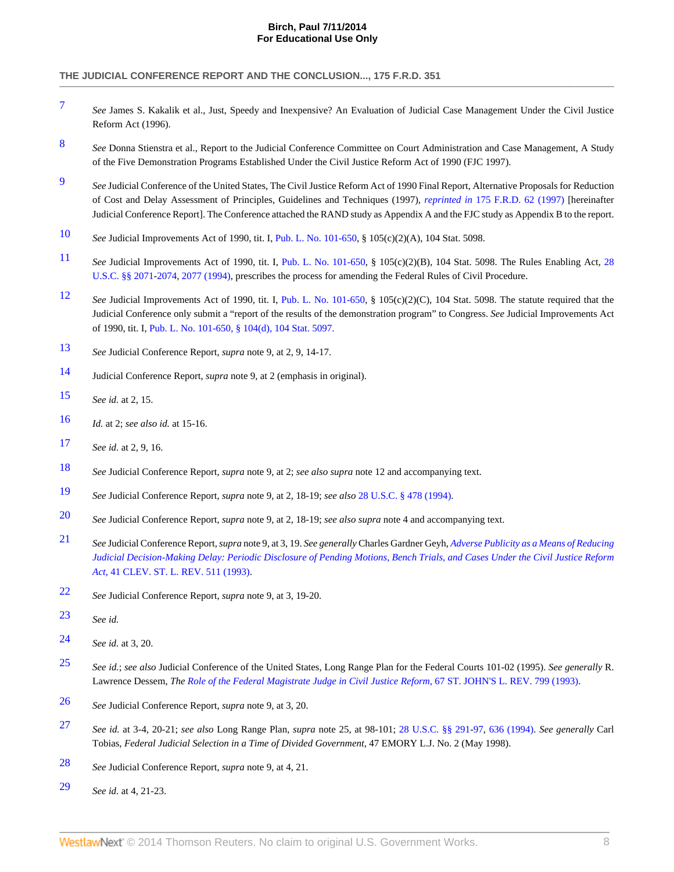<span id="page-8-0"></span>[7](#page-1-7) *See* James S. Kakalik et al., Just, Speedy and Inexpensive? An Evaluation of Judicial Case Management Under the Civil Justice Reform Act (1996).

**For Educational Use Only**

- <span id="page-8-1"></span>[8](#page-1-8) *See* Donna Stienstra et al., Report to the Judicial Conference Committee on Court Administration and Case Management, A Study of the Five Demonstration Programs Established Under the Civil Justice Reform Act of 1990 (FJC 1997).
- <span id="page-8-2"></span>[9](#page-1-9) *See* Judicial Conference of the United States, The Civil Justice Reform Act of 1990 Final Report, Alternative Proposals for Reduction of Cost and Delay Assessment of Principles, Guidelines and Techniques (1997), *reprinted in* [175 F.R.D. 62 \(1997\)](http://www.westlaw.com/Link/Document/FullText?findType=Y&serNum=0108757957&pubNum=344&originationContext=document&vr=3.0&rs=cblt1.0&transitionType=DocumentItem&contextData=(sc.UserEnteredCitation)) [hereinafter Judicial Conference Report]. The Conference attached the RAND study as Appendix A and the FJC study as Appendix B to the report.
- <span id="page-8-3"></span>[10](#page-2-0) *See* Judicial Improvements Act of 1990, tit. I, [Pub. L. No. 101-650](http://www.westlaw.com/Link/Document/FullText?findType=l&pubNum=1077005&cite=UUID(I64F9DF3484-E4487483A89-366B0D269FF)&originationContext=document&vr=3.0&rs=cblt1.0&transitionType=DocumentItem&contextData=(sc.UserEnteredCitation)), § 105(c)(2)(A), 104 Stat. 5098.
- <span id="page-8-4"></span>[11](#page-2-1) *See* Judicial Improvements Act of 1990, tit. I, [Pub. L. No. 101-650](http://www.westlaw.com/Link/Document/FullText?findType=l&pubNum=1077005&cite=UUID(I64F9DF3484-E4487483A89-366B0D269FF)&originationContext=document&vr=3.0&rs=cblt1.0&transitionType=DocumentItem&contextData=(sc.UserEnteredCitation)), § 105(c)(2)(B), 104 Stat. 5098. The Rules Enabling Act, [28](http://www.westlaw.com/Link/Document/FullText?findType=L&pubNum=1000546&cite=28USCAS2071&originatingDoc=Iddd53cf136f111dc8120b359c1a23e50&refType=LQ&originationContext=document&vr=3.0&rs=cblt1.0&transitionType=DocumentItem&contextData=(sc.UserEnteredCitation)) [U.S.C. §§ 2071-](http://www.westlaw.com/Link/Document/FullText?findType=L&pubNum=1000546&cite=28USCAS2071&originatingDoc=Iddd53cf136f111dc8120b359c1a23e50&refType=LQ&originationContext=document&vr=3.0&rs=cblt1.0&transitionType=DocumentItem&contextData=(sc.UserEnteredCitation))[2074,](http://www.westlaw.com/Link/Document/FullText?findType=L&pubNum=1000546&cite=28USCAS2074&originatingDoc=Iddd53cf136f111dc8120b359c1a23e50&refType=LQ&originationContext=document&vr=3.0&rs=cblt1.0&transitionType=DocumentItem&contextData=(sc.UserEnteredCitation)) [2077 \(1994\)](http://www.westlaw.com/Link/Document/FullText?findType=L&pubNum=1000546&cite=28USCAS2077&originatingDoc=Iddd53cf136f111dc8120b359c1a23e50&refType=LQ&originationContext=document&vr=3.0&rs=cblt1.0&transitionType=DocumentItem&contextData=(sc.UserEnteredCitation)), prescribes the process for amending the Federal Rules of Civil Procedure.
- <span id="page-8-5"></span>[12](#page-2-2) *See* Judicial Improvements Act of 1990, tit. I, [Pub. L. No. 101-650,](http://www.westlaw.com/Link/Document/FullText?findType=l&pubNum=1077005&cite=UUID(I64F9DF3484-E4487483A89-366B0D269FF)&originationContext=document&vr=3.0&rs=cblt1.0&transitionType=DocumentItem&contextData=(sc.UserEnteredCitation)) § 105(c)(2)(C), 104 Stat. 5098. The statute required that the Judicial Conference only submit a "report of the results of the demonstration program" to Congress. *See* Judicial Improvements Act of 1990, tit. I, [Pub. L. No. 101-650, § 104\(d\), 104 Stat. 5097.](http://www.westlaw.com/Link/Document/FullText?findType=l&pubNum=1077005&cite=UUID(I64F9DF3484-E4487483A89-366B0D269FF)&originationContext=document&vr=3.0&rs=cblt1.0&transitionType=DocumentItem&contextData=(sc.UserEnteredCitation))
- <span id="page-8-6"></span>[13](#page-2-3) *See* Judicial Conference Report, *supra* note 9, at 2, 9, 14-17.
- <span id="page-8-7"></span>[14](#page-2-4) Judicial Conference Report, *supra* note 9, at 2 (emphasis in original).
- <span id="page-8-8"></span>[15](#page-2-5) *See id.* at 2, 15.
- <span id="page-8-9"></span>[16](#page-2-6) *Id.* at 2; *see also id.* at 15-16.
- <span id="page-8-10"></span>[17](#page-2-7) *See id.* at 2, 9, 16.
- <span id="page-8-11"></span>[18](#page-2-8) *See* Judicial Conference Report, *supra* note 9, at 2; *see also supra* note 12 and accompanying text.
- <span id="page-8-12"></span>[19](#page-2-9) *See* Judicial Conference Report, *supra* note 9, at 2, 18-19; *see also* [28 U.S.C. § 478 \(1994\).](http://www.westlaw.com/Link/Document/FullText?findType=L&pubNum=1000546&cite=28USCAS478&originatingDoc=Iddd53cf136f111dc8120b359c1a23e50&refType=LQ&originationContext=document&vr=3.0&rs=cblt1.0&transitionType=DocumentItem&contextData=(sc.UserEnteredCitation))
- <span id="page-8-13"></span>[20](#page-2-10) *See* Judicial Conference Report, *supra* note 9, at 2, 18-19; *see also supra* note 4 and accompanying text.
- <span id="page-8-14"></span>[21](#page-3-0) *See* Judicial Conference Report, *supra* note 9, at 3, 19. *See generally* Charles Gardner Geyh, *[Adverse Publicity as a Means of Reducing](http://www.westlaw.com/Link/Document/FullText?findType=Y&serNum=0104454433&pubNum=1115&originationContext=document&vr=3.0&rs=cblt1.0&transitionType=DocumentItem&contextData=(sc.UserEnteredCitation)) [Judicial Decision-Making Delay: Periodic Disclosure of Pending Motions, Bench Trials, and Cases Under the Civil Justice Reform](http://www.westlaw.com/Link/Document/FullText?findType=Y&serNum=0104454433&pubNum=1115&originationContext=document&vr=3.0&rs=cblt1.0&transitionType=DocumentItem&contextData=(sc.UserEnteredCitation)) Act*[, 41 CLEV. ST. L. REV. 511 \(1993\).](http://www.westlaw.com/Link/Document/FullText?findType=Y&serNum=0104454433&pubNum=1115&originationContext=document&vr=3.0&rs=cblt1.0&transitionType=DocumentItem&contextData=(sc.UserEnteredCitation))
- <span id="page-8-15"></span>[22](#page-3-1) *See* Judicial Conference Report, *supra* note 9, at 3, 19-20.
- <span id="page-8-16"></span>[23](#page-3-2) *See id.*
- <span id="page-8-17"></span>[24](#page-3-3) *See id.* at 3, 20.
- <span id="page-8-18"></span>[25](#page-3-4) *See id.*; *see also* Judicial Conference of the United States, Long Range Plan for the Federal Courts 101-02 (1995). *See generally* R. Lawrence Dessem, *The [Role of the Federal Magistrate Judge in Civil Justice Reform](http://www.westlaw.com/Link/Document/FullText?findType=Y&serNum=0104628485&pubNum=1235&originationContext=document&vr=3.0&rs=cblt1.0&transitionType=DocumentItem&contextData=(sc.UserEnteredCitation))*, 67 ST. JOHN'S L. REV. 799 (1993).
- <span id="page-8-19"></span>[26](#page-3-5) *See* Judicial Conference Report, *supra* note 9, at 3, 20.
- <span id="page-8-20"></span>[27](#page-3-6) *See id.* at 3-4, 20-21; *see also* Long Range Plan, *supra* note 25, at 98-101; [28 U.S.C. §§ 291](http://www.westlaw.com/Link/Document/FullText?findType=L&pubNum=1000546&cite=28USCAS291&originatingDoc=Iddd53cf136f111dc8120b359c1a23e50&refType=LQ&originationContext=document&vr=3.0&rs=cblt1.0&transitionType=DocumentItem&contextData=(sc.UserEnteredCitation))[-97](http://www.westlaw.com/Link/Document/FullText?findType=L&pubNum=1000546&cite=28USCAS297&originatingDoc=Iddd53cf136f111dc8120b359c1a23e50&refType=LQ&originationContext=document&vr=3.0&rs=cblt1.0&transitionType=DocumentItem&contextData=(sc.UserEnteredCitation)), [636 \(1994\).](http://www.westlaw.com/Link/Document/FullText?findType=L&pubNum=1000546&cite=28USCAS636&originatingDoc=Iddd53cf136f111dc8120b359c1a23e50&refType=LQ&originationContext=document&vr=3.0&rs=cblt1.0&transitionType=DocumentItem&contextData=(sc.UserEnteredCitation)) *See generally* Carl Tobias, *Federal Judicial Selection in a Time of Divided Government*, 47 EMORY L.J. No. 2 (May 1998).
- <span id="page-8-21"></span>[28](#page-3-7) *See* Judicial Conference Report, *supra* note 9, at 4, 21.
- <span id="page-8-22"></span>[29](#page-3-8) *See id.* at 4, 21-23.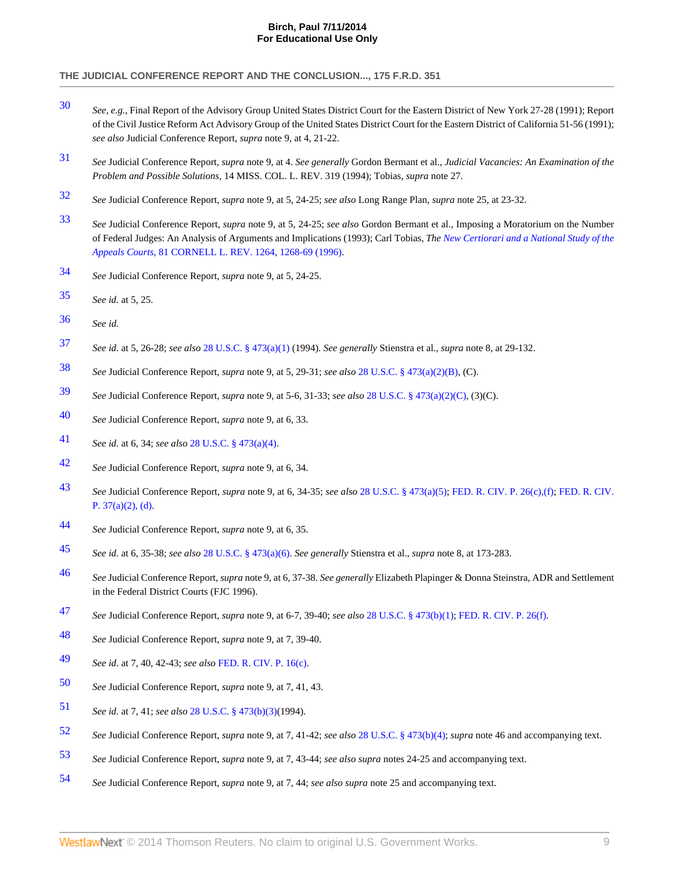<span id="page-9-0"></span> *See, e.g.*, Final Report of the Advisory Group United States District Court for the Eastern District of New York 27-28 (1991); Report of the Civil Justice Reform Act Advisory Group of the United States District Court for the Eastern District of California 51-56 (1991); *see also* Judicial Conference Report, *supra* note 9, at 4, 21-22.

**For Educational Use Only**

- <span id="page-9-1"></span> *See* Judicial Conference Report, *supra* note 9, at 4. *See generally* Gordon Bermant et al., *Judicial Vacancies: An Examination of the Problem and Possible Solutions*, 14 MISS. COL. L. REV. 319 (1994); Tobias, *supra* note 27.
- <span id="page-9-2"></span>*See* Judicial Conference Report, *supra* note 9, at 5, 24-25; *see also* Long Range Plan, *supra* note 25, at 23-32.
- <span id="page-9-3"></span> *See* Judicial Conference Report, *supra* note 9, at 5, 24-25; *see also* Gordon Bermant et al., Imposing a Moratorium on the Number of Federal Judges: An Analysis of Arguments and Implications (1993); Carl Tobias, *The [New Certiorari and a National Study of the](http://www.westlaw.com/Link/Document/FullText?findType=Y&serNum=0107189721&pubNum=1111&fi=co_pp_sp_1111_1268&originationContext=document&vr=3.0&rs=cblt1.0&transitionType=DocumentItem&contextData=(sc.UserEnteredCitation)#co_pp_sp_1111_1268) Appeals Courts*[, 81 CORNELL L. REV. 1264, 1268-69 \(1996\)](http://www.westlaw.com/Link/Document/FullText?findType=Y&serNum=0107189721&pubNum=1111&fi=co_pp_sp_1111_1268&originationContext=document&vr=3.0&rs=cblt1.0&transitionType=DocumentItem&contextData=(sc.UserEnteredCitation)#co_pp_sp_1111_1268).
- <span id="page-9-4"></span>*See* Judicial Conference Report, *supra* note 9, at 5, 24-25.
- <span id="page-9-5"></span>*See id.* at 5, 25.
- <span id="page-9-6"></span>*See id.*
- <span id="page-9-7"></span>*See id.* at 5, 26-28; *see also* [28 U.S.C. § 473\(a\)\(1\)](http://www.westlaw.com/Link/Document/FullText?findType=L&pubNum=1000546&cite=28USCAS473&originationContext=document&vr=3.0&rs=cblt1.0&transitionType=DocumentItem&contextData=(sc.UserEnteredCitation)#co_pp_7b9b000044381) (1994). *See generally* Stienstra et al., *supra* note 8, at 29-132.
- <span id="page-9-8"></span>*See* Judicial Conference Report, *supra* note 9, at 5, 29-31; *see also* [28 U.S.C. § 473\(a\)\(2\)\(B\)](http://www.westlaw.com/Link/Document/FullText?findType=L&pubNum=1000546&cite=28USCAS473&originationContext=document&vr=3.0&rs=cblt1.0&transitionType=DocumentItem&contextData=(sc.UserEnteredCitation)#co_pp_f93f00008d291), (C).
- <span id="page-9-9"></span>*See* Judicial Conference Report, *supra* note 9, at 5-6, 31-33; *see also* [28 U.S.C. § 473\(a\)\(2\)\(C\),](http://www.westlaw.com/Link/Document/FullText?findType=L&pubNum=1000546&cite=28USCAS473&originationContext=document&vr=3.0&rs=cblt1.0&transitionType=DocumentItem&contextData=(sc.UserEnteredCitation)#co_pp_9bab000016341) (3)(C).
- <span id="page-9-10"></span>*See* Judicial Conference Report, *supra* note 9, at 6, 33.
- <span id="page-9-11"></span>*See id.* at 6, 34; *see also* [28 U.S.C. § 473\(a\)\(4\)](http://www.westlaw.com/Link/Document/FullText?findType=L&pubNum=1000546&cite=28USCAS473&originationContext=document&vr=3.0&rs=cblt1.0&transitionType=DocumentItem&contextData=(sc.UserEnteredCitation)#co_pp_d40e000072291).
- <span id="page-9-12"></span>*See* Judicial Conference Report, *supra* note 9, at 6, 34.
- <span id="page-9-13"></span> *See* Judicial Conference Report, *supra* note 9, at 6, 34-35; *see also* [28 U.S.C. § 473\(a\)\(5\)](http://www.westlaw.com/Link/Document/FullText?findType=L&pubNum=1000546&cite=28USCAS473&originationContext=document&vr=3.0&rs=cblt1.0&transitionType=DocumentItem&contextData=(sc.UserEnteredCitation)#co_pp_488b0000d05e2); [FED. R. CIV. P. 26\(c\),\(f\)](http://www.westlaw.com/Link/Document/FullText?findType=L&pubNum=1004365&cite=USFRCPR26&originatingDoc=Iddd53cf136f111dc8120b359c1a23e50&refType=LQ&originationContext=document&vr=3.0&rs=cblt1.0&transitionType=DocumentItem&contextData=(sc.UserEnteredCitation)); [FED. R. CIV.](http://www.westlaw.com/Link/Document/FullText?findType=L&pubNum=1004365&cite=USFRCPR37&originatingDoc=Iddd53cf136f111dc8120b359c1a23e50&refType=LQ&originationContext=document&vr=3.0&rs=cblt1.0&transitionType=DocumentItem&contextData=(sc.UserEnteredCitation)) [P. 37\(a\)\(2\), \(d\).](http://www.westlaw.com/Link/Document/FullText?findType=L&pubNum=1004365&cite=USFRCPR37&originatingDoc=Iddd53cf136f111dc8120b359c1a23e50&refType=LQ&originationContext=document&vr=3.0&rs=cblt1.0&transitionType=DocumentItem&contextData=(sc.UserEnteredCitation))
- <span id="page-9-14"></span>*See* Judicial Conference Report, *supra* note 9, at 6, 35.
- <span id="page-9-15"></span>*See id.* at 6, 35-38; *see also* [28 U.S.C. § 473\(a\)\(6\)](http://www.westlaw.com/Link/Document/FullText?findType=L&pubNum=1000546&cite=28USCAS473&originationContext=document&vr=3.0&rs=cblt1.0&transitionType=DocumentItem&contextData=(sc.UserEnteredCitation)#co_pp_1496000051ed7). *See generally* Stienstra et al., *supra* note 8, at 173-283.
- <span id="page-9-16"></span> *See* Judicial Conference Report, *supra* note 9, at 6, 37-38. *See generally* Elizabeth Plapinger & Donna Steinstra, ADR and Settlement in the Federal District Courts (FJC 1996).
- <span id="page-9-17"></span>*See* Judicial Conference Report, *supra* note 9, at 6-7, 39-40; *see also* [28 U.S.C. § 473\(b\)\(1\)](http://www.westlaw.com/Link/Document/FullText?findType=L&pubNum=1000546&cite=28USCAS473&originationContext=document&vr=3.0&rs=cblt1.0&transitionType=DocumentItem&contextData=(sc.UserEnteredCitation)#co_pp_3fed000053a85); [FED. R. CIV. P. 26\(f\)](http://www.westlaw.com/Link/Document/FullText?findType=L&pubNum=1004365&cite=USFRCPR26&originatingDoc=Iddd53cf136f111dc8120b359c1a23e50&refType=LQ&originationContext=document&vr=3.0&rs=cblt1.0&transitionType=DocumentItem&contextData=(sc.UserEnteredCitation)).
- <span id="page-9-18"></span>*See* Judicial Conference Report, *supra* note 9, at 7, 39-40.
- <span id="page-9-19"></span>*See id.* at 7, 40, 42-43; *see also* [FED. R. CIV. P. 16\(c\).](http://www.westlaw.com/Link/Document/FullText?findType=L&pubNum=1004365&cite=USFRCPR16&originatingDoc=Iddd53cf136f111dc8120b359c1a23e50&refType=LQ&originationContext=document&vr=3.0&rs=cblt1.0&transitionType=DocumentItem&contextData=(sc.UserEnteredCitation))
- <span id="page-9-20"></span>*See* Judicial Conference Report, *supra* note 9, at 7, 41, 43.
- <span id="page-9-21"></span>*See id.* at 7, 41; *see also* [28 U.S.C. § 473\(b\)\(3\)\(](http://www.westlaw.com/Link/Document/FullText?findType=L&pubNum=1000546&cite=28USCAS473&originationContext=document&vr=3.0&rs=cblt1.0&transitionType=DocumentItem&contextData=(sc.UserEnteredCitation)#co_pp_d801000002763)1994).
- <span id="page-9-22"></span>*See* Judicial Conference Report, *supra* note 9, at 7, 41-42; *see also* [28 U.S.C. § 473\(b\)\(4\);](http://www.westlaw.com/Link/Document/FullText?findType=L&pubNum=1000546&cite=28USCAS473&originationContext=document&vr=3.0&rs=cblt1.0&transitionType=DocumentItem&contextData=(sc.UserEnteredCitation)#co_pp_6ad60000aeea7) *supra* note 46 and accompanying text.
- <span id="page-9-23"></span>*See* Judicial Conference Report, *supra* note 9, at 7, 43-44; *see also supra* notes 24-25 and accompanying text.
- <span id="page-9-24"></span>*See* Judicial Conference Report, *supra* note 9, at 7, 44; *see also supra* note 25 and accompanying text.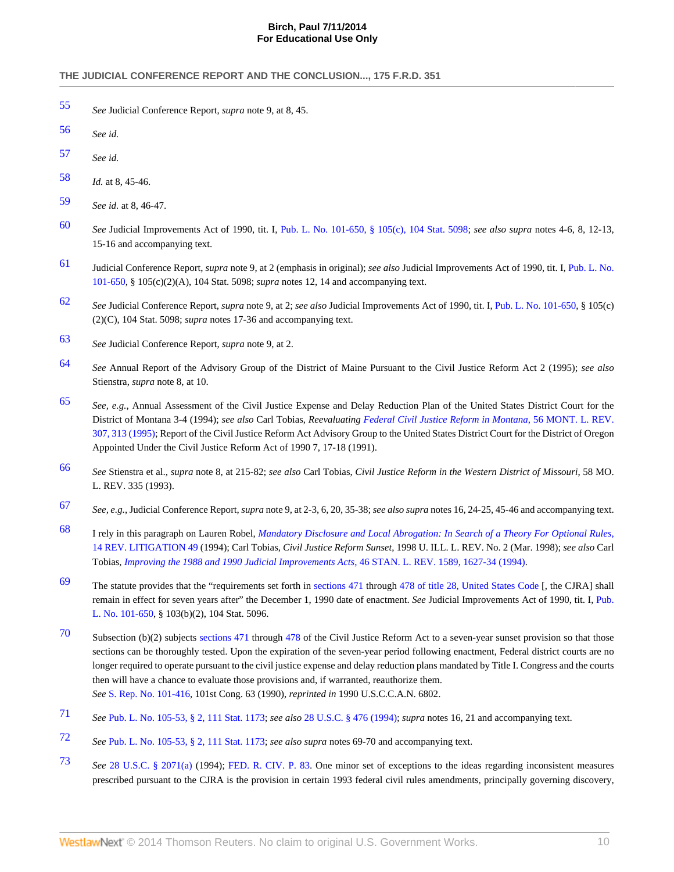- <span id="page-10-0"></span>[55](#page-5-2) *See* Judicial Conference Report, *supra* note 9, at 8, 45.
- <span id="page-10-1"></span>[56](#page-5-3) *See id.*
- <span id="page-10-2"></span>[57](#page-5-4) *See id.*
- <span id="page-10-3"></span>[58](#page-5-5) *Id.* at 8, 45-46.
- <span id="page-10-4"></span>[59](#page-5-6) *See id.* at 8, 46-47.
- <span id="page-10-5"></span>[60](#page-5-7) *See* Judicial Improvements Act of 1990, tit. I, [Pub. L. No. 101-650, § 105\(c\), 104 Stat. 5098](http://www.westlaw.com/Link/Document/FullText?findType=l&pubNum=1077005&cite=UUID(I64F9DF3484-E4487483A89-366B0D269FF)&originationContext=document&vr=3.0&rs=cblt1.0&transitionType=DocumentItem&contextData=(sc.UserEnteredCitation)); *see also supra* notes 4-6, 8, 12-13, 15-16 and accompanying text.

**For Educational Use Only**

- <span id="page-10-6"></span>[61](#page-5-8) Judicial Conference Report, *supra* note 9, at 2 (emphasis in original); *see also* Judicial Improvements Act of 1990, tit. I, [Pub. L. No.](http://www.westlaw.com/Link/Document/FullText?findType=l&pubNum=1077005&cite=UUID(I64F9DF3484-E4487483A89-366B0D269FF)&originationContext=document&vr=3.0&rs=cblt1.0&transitionType=DocumentItem&contextData=(sc.UserEnteredCitation)) [101-650,](http://www.westlaw.com/Link/Document/FullText?findType=l&pubNum=1077005&cite=UUID(I64F9DF3484-E4487483A89-366B0D269FF)&originationContext=document&vr=3.0&rs=cblt1.0&transitionType=DocumentItem&contextData=(sc.UserEnteredCitation)) § 105(c)(2)(A), 104 Stat. 5098; *supra* notes 12, 14 and accompanying text.
- <span id="page-10-7"></span>[62](#page-5-9) *See* Judicial Conference Report, *supra* note 9, at 2; *see also* Judicial Improvements Act of 1990, tit. I, [Pub. L. No. 101-650](http://www.westlaw.com/Link/Document/FullText?findType=l&pubNum=1077005&cite=UUID(I64F9DF3484-E4487483A89-366B0D269FF)&originationContext=document&vr=3.0&rs=cblt1.0&transitionType=DocumentItem&contextData=(sc.UserEnteredCitation)), § 105(c) (2)(C), 104 Stat. 5098; *supra* notes 17-36 and accompanying text.
- <span id="page-10-8"></span>[63](#page-5-10) *See* Judicial Conference Report, *supra* note 9, at 2.
- <span id="page-10-9"></span>[64](#page-6-0) *See* Annual Report of the Advisory Group of the District of Maine Pursuant to the Civil Justice Reform Act 2 (1995); *see also* Stienstra, *supra* note 8, at 10.
- <span id="page-10-10"></span>[65](#page-6-1) *See, e.g.*, Annual Assessment of the Civil Justice Expense and Delay Reduction Plan of the United States District Court for the District of Montana 3-4 (1994); *see also* Carl Tobias, *Reevaluating [Federal Civil Justice Reform in Montana](http://www.westlaw.com/Link/Document/FullText?findType=Y&serNum=0105031852&pubNum=3085&fi=co_pp_sp_3085_313&originationContext=document&vr=3.0&rs=cblt1.0&transitionType=DocumentItem&contextData=(sc.UserEnteredCitation)#co_pp_sp_3085_313)*, 56 MONT. L. REV. [307, 313 \(1995\);](http://www.westlaw.com/Link/Document/FullText?findType=Y&serNum=0105031852&pubNum=3085&fi=co_pp_sp_3085_313&originationContext=document&vr=3.0&rs=cblt1.0&transitionType=DocumentItem&contextData=(sc.UserEnteredCitation)#co_pp_sp_3085_313) Report of the Civil Justice Reform Act Advisory Group to the United States District Court for the District of Oregon Appointed Under the Civil Justice Reform Act of 1990 7, 17-18 (1991).
- <span id="page-10-11"></span>[66](#page-6-2) *See* Stienstra et al., *supra* note 8, at 215-82; *see also* Carl Tobias, *Civil Justice Reform in the Western District of Missouri*, 58 MO. L. REV. 335 (1993).
- <span id="page-10-12"></span>[67](#page-6-3) *See, e.g.*, Judicial Conference Report, *supra* note 9, at 2-3, 6, 20, 35-38; *see also supra* notes 16, 24-25, 45-46 and accompanying text.
- <span id="page-10-13"></span>[68](#page-6-4) I rely in this paragraph on Lauren Robel, *[Mandatory Disclosure and Local Abrogation: In Search of a Theory For Optional Rules](http://www.westlaw.com/Link/Document/FullText?findType=Y&serNum=0104960751&pubNum=100385&originationContext=document&vr=3.0&rs=cblt1.0&transitionType=DocumentItem&contextData=(sc.UserEnteredCitation))*, [14 REV. LITIGATION 49](http://www.westlaw.com/Link/Document/FullText?findType=Y&serNum=0104960751&pubNum=100385&originationContext=document&vr=3.0&rs=cblt1.0&transitionType=DocumentItem&contextData=(sc.UserEnteredCitation)) (1994); Carl Tobias, *Civil Justice Reform Sunset*, 1998 U. ILL. L. REV. No. 2 (Mar. 1998); *see also* Carl Tobias, *[Improving the 1988 and 1990 Judicial Improvements Acts](http://www.westlaw.com/Link/Document/FullText?findType=Y&serNum=0104860234&pubNum=1239&fi=co_pp_sp_1239_1627&originationContext=document&vr=3.0&rs=cblt1.0&transitionType=DocumentItem&contextData=(sc.UserEnteredCitation)#co_pp_sp_1239_1627)*, 46 STAN. L. REV. 1589, 1627-34 (1994).
- <span id="page-10-14"></span>[69](#page-6-5) The statute provides that the "requirements set forth in [sections 471](http://www.westlaw.com/Link/Document/FullText?findType=L&pubNum=1000546&cite=28USCAS471&originatingDoc=Iddd53cf136f111dc8120b359c1a23e50&refType=LQ&originationContext=document&vr=3.0&rs=cblt1.0&transitionType=DocumentItem&contextData=(sc.UserEnteredCitation)) through [478 of title 28, United States Code](http://www.westlaw.com/Link/Document/FullText?findType=L&pubNum=1000546&cite=28USCAS478&originatingDoc=Iddd53cf136f111dc8120b359c1a23e50&refType=LQ&originationContext=document&vr=3.0&rs=cblt1.0&transitionType=DocumentItem&contextData=(sc.UserEnteredCitation)) [, the CJRA] shall remain in effect for seven years after" the December 1, 1990 date of enactment. *See* Judicial Improvements Act of 1990, tit. I, [Pub.](http://www.westlaw.com/Link/Document/FullText?findType=l&pubNum=1077005&cite=UUID(I64F9DF3484-E4487483A89-366B0D269FF)&originationContext=document&vr=3.0&rs=cblt1.0&transitionType=DocumentItem&contextData=(sc.UserEnteredCitation)) [L. No. 101-650](http://www.westlaw.com/Link/Document/FullText?findType=l&pubNum=1077005&cite=UUID(I64F9DF3484-E4487483A89-366B0D269FF)&originationContext=document&vr=3.0&rs=cblt1.0&transitionType=DocumentItem&contextData=(sc.UserEnteredCitation)), § 103(b)(2), 104 Stat. 5096.
- <span id="page-10-15"></span>[70](#page-6-6) Subsection (b)(2) subjects [sections 471](http://www.westlaw.com/Link/Document/FullText?findType=L&pubNum=1000546&cite=28USCAS471&originatingDoc=Iddd53cf136f111dc8120b359c1a23e50&refType=LQ&originationContext=document&vr=3.0&rs=cblt1.0&transitionType=DocumentItem&contextData=(sc.UserEnteredCitation)) through [478](http://www.westlaw.com/Link/Document/FullText?findType=L&pubNum=1000546&cite=28USCAS478&originatingDoc=Iddd53cf136f111dc8120b359c1a23e50&refType=LQ&originationContext=document&vr=3.0&rs=cblt1.0&transitionType=DocumentItem&contextData=(sc.UserEnteredCitation)) of the Civil Justice Reform Act to a seven-year sunset provision so that those sections can be thoroughly tested. Upon the expiration of the seven-year period following enactment, Federal district courts are no longer required to operate pursuant to the civil justice expense and delay reduction plans mandated by Title I. Congress and the courts then will have a chance to evaluate those provisions and, if warranted, reauthorize them. *See* [S. Rep. No. 101-416,](http://www.westlaw.com/Link/Document/FullText?findType=Y&serNum=0100411931&pubNum=0001503&originationContext=document&vr=3.0&rs=cblt1.0&transitionType=DocumentItem&contextData=(sc.UserEnteredCitation)) 101st Cong. 63 (1990), *reprinted in* 1990 U.S.C.C.A.N. 6802.
- <span id="page-10-16"></span>[71](#page-6-7) *See* [Pub. L. No. 105-53, § 2, 111 Stat. 1173;](http://www.westlaw.com/Link/Document/FullText?findType=l&pubNum=1077005&cite=UUID(IBC299544D6-7547BCA67C6-67AE6F1E4FF)&originationContext=document&vr=3.0&rs=cblt1.0&transitionType=DocumentItem&contextData=(sc.UserEnteredCitation)) *see also* [28 U.S.C. § 476 \(1994\);](http://www.westlaw.com/Link/Document/FullText?findType=L&pubNum=1000546&cite=28USCAS476&originatingDoc=Iddd53cf136f111dc8120b359c1a23e50&refType=LQ&originationContext=document&vr=3.0&rs=cblt1.0&transitionType=DocumentItem&contextData=(sc.UserEnteredCitation)) *supra* notes 16, 21 and accompanying text.
- <span id="page-10-17"></span>[72](#page-6-8) *See* [Pub. L. No. 105-53, § 2, 111 Stat. 1173;](http://www.westlaw.com/Link/Document/FullText?findType=l&pubNum=1077005&cite=UUID(IBC299544D6-7547BCA67C6-67AE6F1E4FF)&originationContext=document&vr=3.0&rs=cblt1.0&transitionType=DocumentItem&contextData=(sc.UserEnteredCitation)) *see also supra* notes 69-70 and accompanying text.
- <span id="page-10-18"></span>[73](#page-6-9) *See* [28 U.S.C. § 2071\(a\)](http://www.westlaw.com/Link/Document/FullText?findType=L&pubNum=1000546&cite=28USCAS2071&originationContext=document&vr=3.0&rs=cblt1.0&transitionType=DocumentItem&contextData=(sc.UserEnteredCitation)#co_pp_8b3b0000958a4) (1994); [FED. R. CIV. P. 83](http://www.westlaw.com/Link/Document/FullText?findType=L&pubNum=1004365&cite=USFRCPR83&originatingDoc=Iddd53cf136f111dc8120b359c1a23e50&refType=LQ&originationContext=document&vr=3.0&rs=cblt1.0&transitionType=DocumentItem&contextData=(sc.UserEnteredCitation)). One minor set of exceptions to the ideas regarding inconsistent measures prescribed pursuant to the CJRA is the provision in certain 1993 federal civil rules amendments, principally governing discovery,